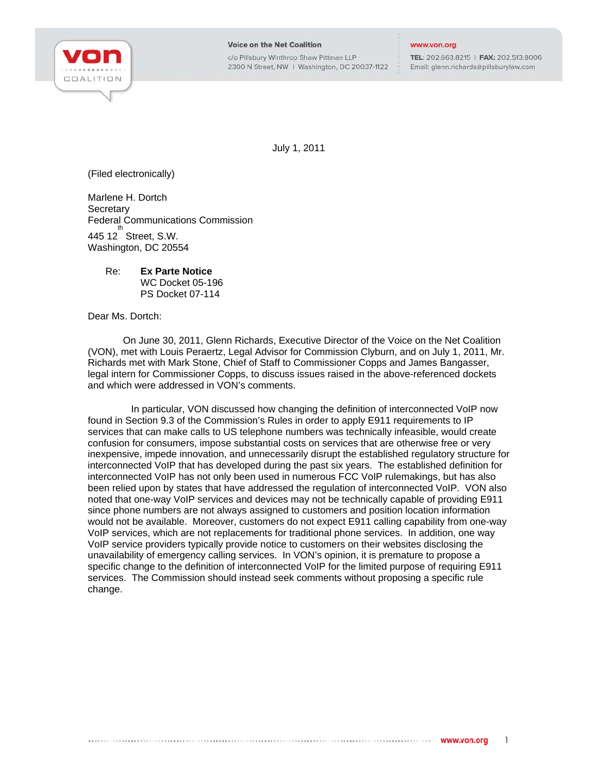

c/o Pillsbury Winthrop Shaw Pittman LLP 2300 N Street, NW | Washington, DC 20037-1122

## www.von.org

TEL: 202.663.8215 | FAX: 202.513.8006 Email: glenn.richards@pillsburylaw.com

July 1, 2011

(Filed electronically)

Marlene H. Dortch **Secretary** Federal Communications Commission  $445$  12 Street, S.W. Washington, DC 20554

## Re: **Ex Parte Notice**  WC Docket 05-196 PS Docket 07-114

Dear Ms. Dortch:

On June 30, 2011, Glenn Richards, Executive Director of the Voice on the Net Coalition (VON), met with Louis Peraertz, Legal Advisor for Commission Clyburn, and on July 1, 2011, Mr. Richards met with Mark Stone, Chief of Staff to Commissioner Copps and James Bangasser, legal intern for Commissioner Copps, to discuss issues raised in the above-referenced dockets and which were addressed in VON's comments.

 In particular, VON discussed how changing the definition of interconnected VoIP now found in Section 9.3 of the Commission's Rules in order to apply E911 requirements to IP services that can make calls to US telephone numbers was technically infeasible, would create confusion for consumers, impose substantial costs on services that are otherwise free or very inexpensive, impede innovation, and unnecessarily disrupt the established regulatory structure for interconnected VoIP that has developed during the past six years. The established definition for interconnected VoIP has not only been used in numerous FCC VoIP rulemakings, but has also been relied upon by states that have addressed the regulation of interconnected VoIP. VON also noted that one-way VoIP services and devices may not be technically capable of providing E911 since phone numbers are not always assigned to customers and position location information would not be available. Moreover, customers do not expect E911 calling capability from one-way VoIP services, which are not replacements for traditional phone services. In addition, one way VoIP service providers typically provide notice to customers on their websites disclosing the unavailability of emergency calling services. In VON's opinion, it is premature to propose a specific change to the definition of interconnected VoIP for the limited purpose of requiring E911 services. The Commission should instead seek comments without proposing a specific rule change.